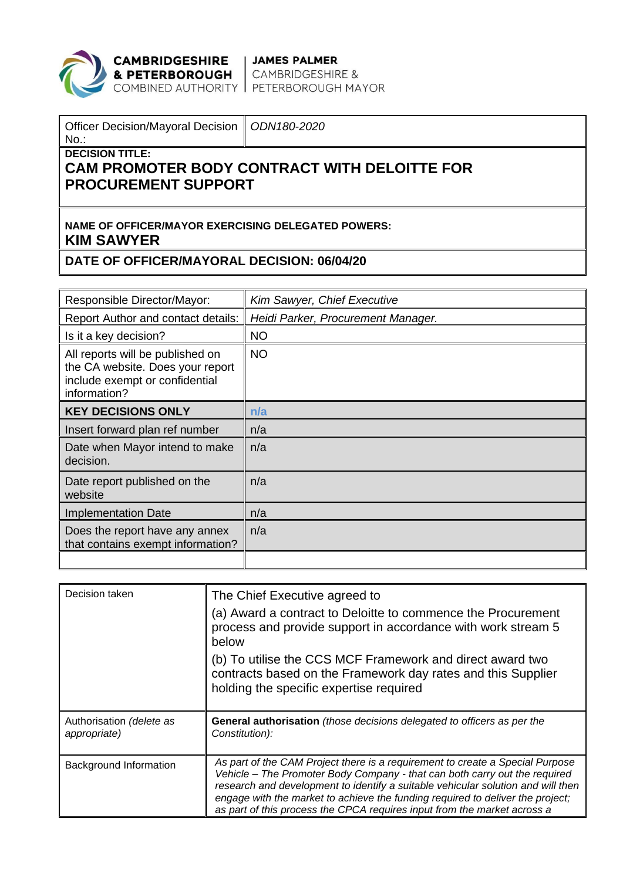

**CAMBRIDGESHIRE | JAMES PALMER<br>& PETERBOROUGH |** CAMBRIDGESHIRE &<br>COMBINED AUTHORITY | PETERBOROUGH MAYOR

| <b>Officer Decision/Mayoral Decision</b><br>$No.$ :                     | ODN180-2020                                         |  |  |  |
|-------------------------------------------------------------------------|-----------------------------------------------------|--|--|--|
| <b>DECISION TITLE:</b><br><b>PROCUREMENT SUPPORT</b>                    | <b>CAM PROMOTER BODY CONTRACT WITH DELOITTE FOR</b> |  |  |  |
| NAME OF OFFICER/MAYOR EXERCISING DELEGATED POWERS:<br><b>KIM SAWYER</b> |                                                     |  |  |  |
| DATE OF OFFICER/MAYORAL DECISION: 06/04/20                              |                                                     |  |  |  |

| Responsible Director/Mayor:                                                                                            | Kim Sawyer, Chief Executive        |
|------------------------------------------------------------------------------------------------------------------------|------------------------------------|
| Report Author and contact details:                                                                                     | Heidi Parker, Procurement Manager. |
| Is it a key decision?                                                                                                  | <b>NO</b>                          |
| All reports will be published on<br>the CA website. Does your report<br>include exempt or confidential<br>information? | <b>NO</b>                          |
| <b>KEY DECISIONS ONLY</b>                                                                                              | n/a                                |
| Insert forward plan ref number                                                                                         | n/a                                |
| Date when Mayor intend to make<br>decision.                                                                            | n/a                                |
| Date report published on the<br>website                                                                                | n/a                                |
| <b>Implementation Date</b>                                                                                             | n/a                                |
| Does the report have any annex<br>that contains exempt information?                                                    | n/a                                |
|                                                                                                                        |                                    |

| Decision taken                           | The Chief Executive agreed to<br>(a) Award a contract to Deloitte to commence the Procurement<br>process and provide support in accordance with work stream 5<br>below<br>(b) To utilise the CCS MCF Framework and direct award two<br>contracts based on the Framework day rates and this Supplier<br>holding the specific expertise required                                                                |
|------------------------------------------|---------------------------------------------------------------------------------------------------------------------------------------------------------------------------------------------------------------------------------------------------------------------------------------------------------------------------------------------------------------------------------------------------------------|
| Authorisation (delete as<br>appropriate) | General authorisation (those decisions delegated to officers as per the<br>Constitution):                                                                                                                                                                                                                                                                                                                     |
| Background Information                   | As part of the CAM Project there is a requirement to create a Special Purpose<br>Vehicle - The Promoter Body Company - that can both carry out the required<br>research and development to identify a suitable vehicular solution and will then<br>engage with the market to achieve the funding required to deliver the project;<br>as part of this process the CPCA requires input from the market across a |